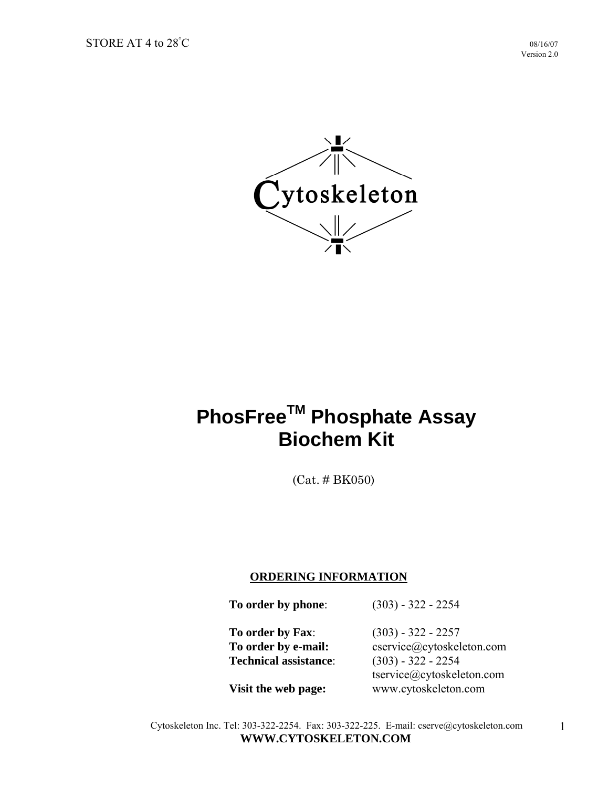

# **PhosFreeTM Phosphate Assay Biochem Kit**

(Cat. # BK050)

#### **ORDERING INFORMATION**

 **To order by phone**: (303) - 322 - 2254

 **To order by Fax**: (303) - 322 - 2257  **Technical assistance**: (303) - 322 - 2254

**To order by e-mail:** cservice@cytoskeleton.com tservice@cytoskeleton.com **Visit the web page:** www.cytoskeleton.com

Cytoskeleton Inc. Tel: 303-322-2254. Fax: 303-322-225. E-mail: cserve@cytoskeleton.com **WWW.CYTOSKELETON.COM**

1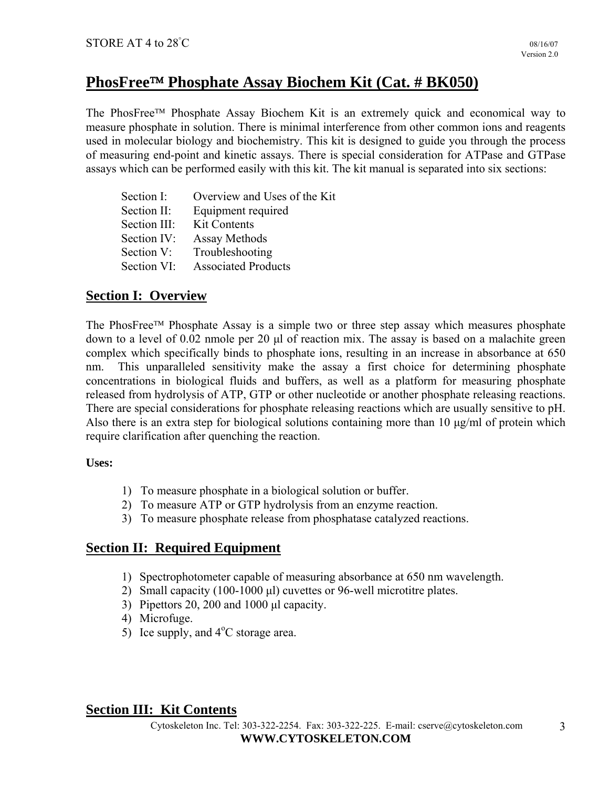# **PhosFree Phosphate Assay Biochem Kit (Cat. # BK050)**

The PhosFree<sup>™</sup> Phosphate Assay Biochem Kit is an extremely quick and economical way to measure phosphate in solution. There is minimal interference from other common ions and reagents used in molecular biology and biochemistry. This kit is designed to guide you through the process of measuring end-point and kinetic assays. There is special consideration for ATPase and GTPase assays which can be performed easily with this kit. The kit manual is separated into six sections:

| Section I:   | Overview and Uses of the Kit |
|--------------|------------------------------|
| Section II:  | Equipment required           |
| Section III: | <b>Kit Contents</b>          |
| Section IV:  | Assay Methods                |
| Section V:   | Troubleshooting              |
| Section VI:  | <b>Associated Products</b>   |

# **Section I: Overview**

The PhosFree<sup> $TM$ </sup> Phosphate Assay is a simple two or three step assay which measures phosphate down to a level of 0.02 nmole per 20 μl of reaction mix. The assay is based on a malachite green complex which specifically binds to phosphate ions, resulting in an increase in absorbance at 650 nm. This unparalleled sensitivity make the assay a first choice for determining phosphate concentrations in biological fluids and buffers, as well as a platform for measuring phosphate released from hydrolysis of ATP, GTP or other nucleotide or another phosphate releasing reactions. There are special considerations for phosphate releasing reactions which are usually sensitive to pH. Also there is an extra step for biological solutions containing more than 10 μg/ml of protein which require clarification after quenching the reaction.

#### **Uses:**

- 1) To measure phosphate in a biological solution or buffer.
- 2) To measure ATP or GTP hydrolysis from an enzyme reaction.
- 3) To measure phosphate release from phosphatase catalyzed reactions.

## **Section II: Required Equipment**

- 1) Spectrophotometer capable of measuring absorbance at 650 nm wavelength.
- 2) Small capacity (100-1000 μl) cuvettes or 96-well microtitre plates.
- 3) Pipettors 20, 200 and 1000 μl capacity.
- 4) Microfuge.
- 5) Ice supply, and  $4^{\circ}$ C storage area.

## **Section III: Kit Contents**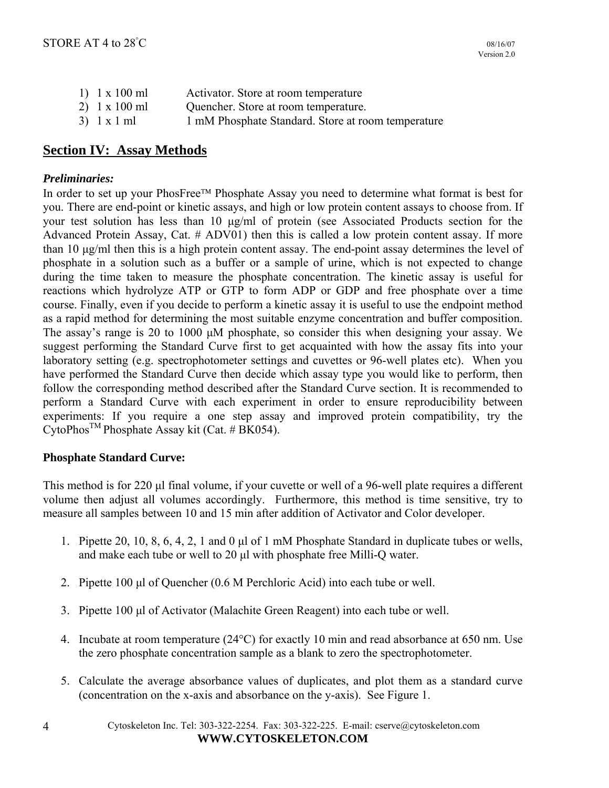| 1) $1 \times 100$ ml | Activator. Store at room temperature               |
|----------------------|----------------------------------------------------|
| 2) $1 \times 100$ ml | Quencher. Store at room temperature.               |
| $3)$ 1 x 1 ml        | 1 mM Phosphate Standard. Store at room temperature |

## **Section IV: Assay Methods**

#### *Preliminaries:*

In order to set up your PhosFree™ Phosphate Assay you need to determine what format is best for you. There are end-point or kinetic assays, and high or low protein content assays to choose from. If your test solution has less than 10 μg/ml of protein (see Associated Products section for the Advanced Protein Assay, Cat. # ADV01) then this is called a low protein content assay. If more than 10 μg/ml then this is a high protein content assay. The end-point assay determines the level of phosphate in a solution such as a buffer or a sample of urine, which is not expected to change during the time taken to measure the phosphate concentration. The kinetic assay is useful for reactions which hydrolyze ATP or GTP to form ADP or GDP and free phosphate over a time course. Finally, even if you decide to perform a kinetic assay it is useful to use the endpoint method as a rapid method for determining the most suitable enzyme concentration and buffer composition. The assay's range is 20 to 1000 μM phosphate, so consider this when designing your assay. We suggest performing the Standard Curve first to get acquainted with how the assay fits into your laboratory setting (e.g. spectrophotometer settings and cuvettes or 96-well plates etc). When you have performed the Standard Curve then decide which assay type you would like to perform, then follow the corresponding method described after the Standard Curve section. It is recommended to perform a Standard Curve with each experiment in order to ensure reproducibility between experiments: If you require a one step assay and improved protein compatibility, try the  $CytoPhos<sup>TM</sup> Phosphate Assay kit (Cat. # BK054).$ 

#### **Phosphate Standard Curve:**

This method is for 220 μl final volume, if your cuvette or well of a 96-well plate requires a different volume then adjust all volumes accordingly. Furthermore, this method is time sensitive, try to measure all samples between 10 and 15 min after addition of Activator and Color developer.

- 1. Pipette 20, 10, 8, 6, 4, 2, 1 and 0 μl of 1 mM Phosphate Standard in duplicate tubes or wells, and make each tube or well to 20 μl with phosphate free Milli-Q water.
- 2. Pipette 100 μl of Quencher (0.6 M Perchloric Acid) into each tube or well.
- 3. Pipette 100 μl of Activator (Malachite Green Reagent) into each tube or well.
- 4. Incubate at room temperature  $(24^{\circ}C)$  for exactly 10 min and read absorbance at 650 nm. Use the zero phosphate concentration sample as a blank to zero the spectrophotometer.
- 5. Calculate the average absorbance values of duplicates, and plot them as a standard curve (concentration on the x-axis and absorbance on the y-axis). See Figure 1.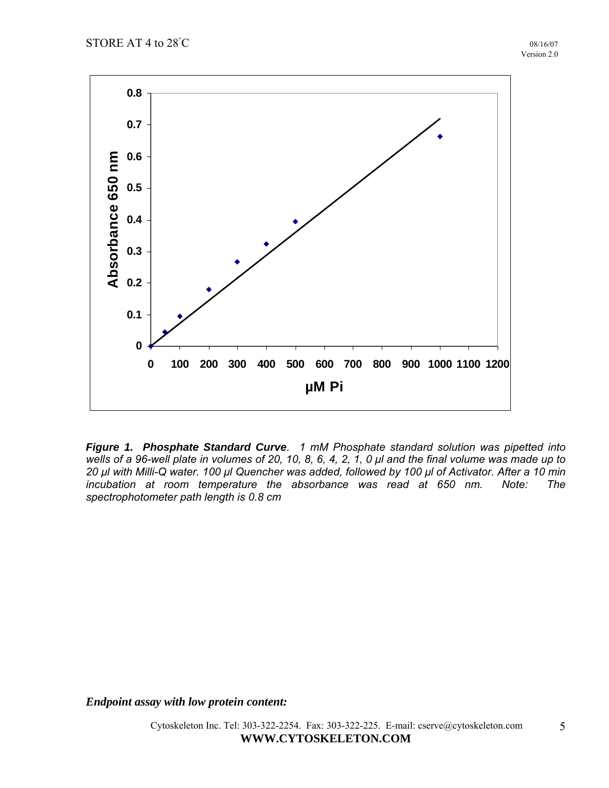

*Figure 1. Phosphate Standard Curve. 1 mM Phosphate standard solution was pipetted into wells of a 96-well plate in volumes of 20, 10, 8, 6, 4, 2, 1, 0 μl and the final volume was made up to 20 μl with Milli-Q water. 100 μl Quencher was added, followed by 100 μl of Activator. After a 10 min incubation at room temperature the absorbance was read at 650 nm. Note: The spectrophotometer path length is 0.8 cm* 

*Endpoint assay with low protein content:*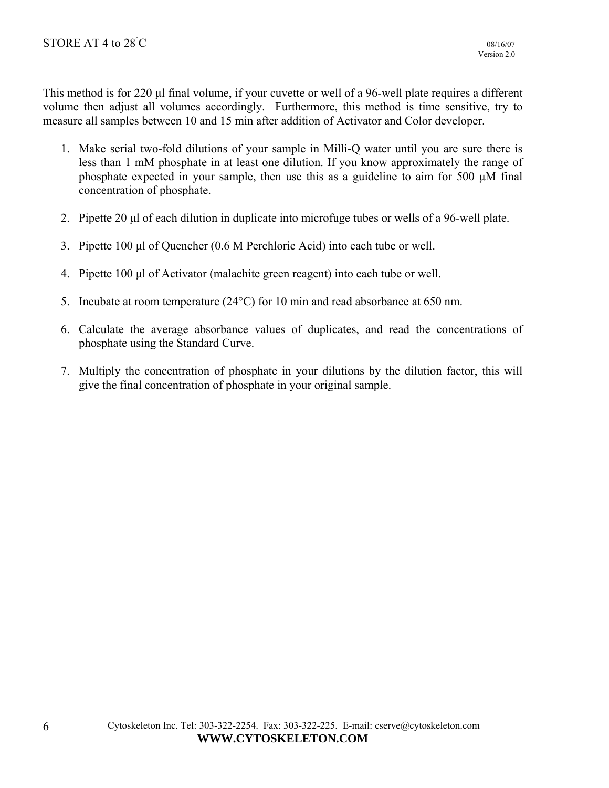This method is for 220 μl final volume, if your cuvette or well of a 96-well plate requires a different volume then adjust all volumes accordingly. Furthermore, this method is time sensitive, try to measure all samples between 10 and 15 min after addition of Activator and Color developer.

- 1. Make serial two-fold dilutions of your sample in Milli-Q water until you are sure there is less than 1 mM phosphate in at least one dilution. If you know approximately the range of phosphate expected in your sample, then use this as a guideline to aim for 500 μM final concentration of phosphate.
- 2. Pipette 20 μl of each dilution in duplicate into microfuge tubes or wells of a 96-well plate.
- 3. Pipette 100 μl of Quencher (0.6 M Perchloric Acid) into each tube or well.
- 4. Pipette 100 μl of Activator (malachite green reagent) into each tube or well.
- 5. Incubate at room temperature (24°C) for 10 min and read absorbance at 650 nm.
- 6. Calculate the average absorbance values of duplicates, and read the concentrations of phosphate using the Standard Curve.
- 7. Multiply the concentration of phosphate in your dilutions by the dilution factor, this will give the final concentration of phosphate in your original sample.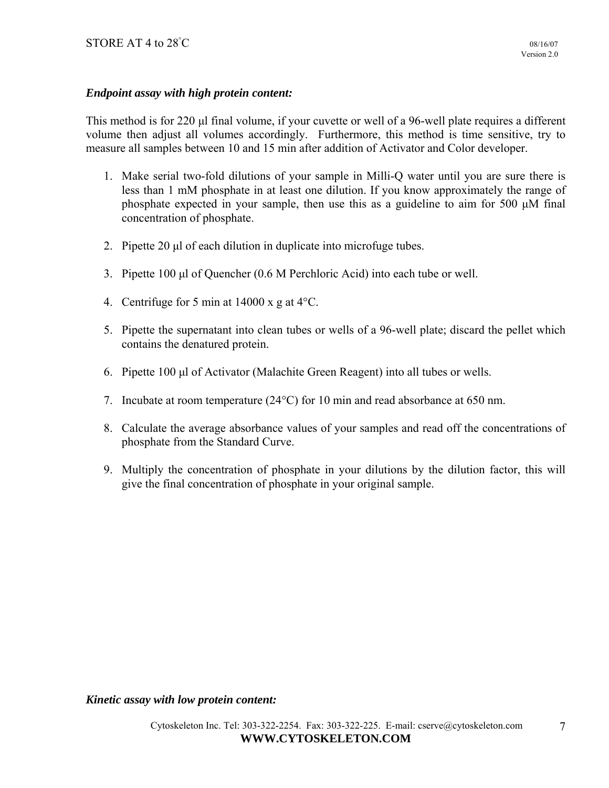### *Endpoint assay with high protein content:*

This method is for 220 μl final volume, if your cuvette or well of a 96-well plate requires a different volume then adjust all volumes accordingly. Furthermore, this method is time sensitive, try to measure all samples between 10 and 15 min after addition of Activator and Color developer.

- 1. Make serial two-fold dilutions of your sample in Milli-Q water until you are sure there is less than 1 mM phosphate in at least one dilution. If you know approximately the range of phosphate expected in your sample, then use this as a guideline to aim for 500 μM final concentration of phosphate.
- 2. Pipette 20 μl of each dilution in duplicate into microfuge tubes.
- 3. Pipette 100 μl of Quencher (0.6 M Perchloric Acid) into each tube or well.
- 4. Centrifuge for 5 min at  $14000 \times g$  at  $4^{\circ}$ C.
- 5. Pipette the supernatant into clean tubes or wells of a 96-well plate; discard the pellet which contains the denatured protein.
- 6. Pipette 100 μl of Activator (Malachite Green Reagent) into all tubes or wells.
- 7. Incubate at room temperature  $(24^{\circ}C)$  for 10 min and read absorbance at 650 nm.
- 8. Calculate the average absorbance values of your samples and read off the concentrations of phosphate from the Standard Curve.
- 9. Multiply the concentration of phosphate in your dilutions by the dilution factor, this will give the final concentration of phosphate in your original sample.

*Kinetic assay with low protein content:*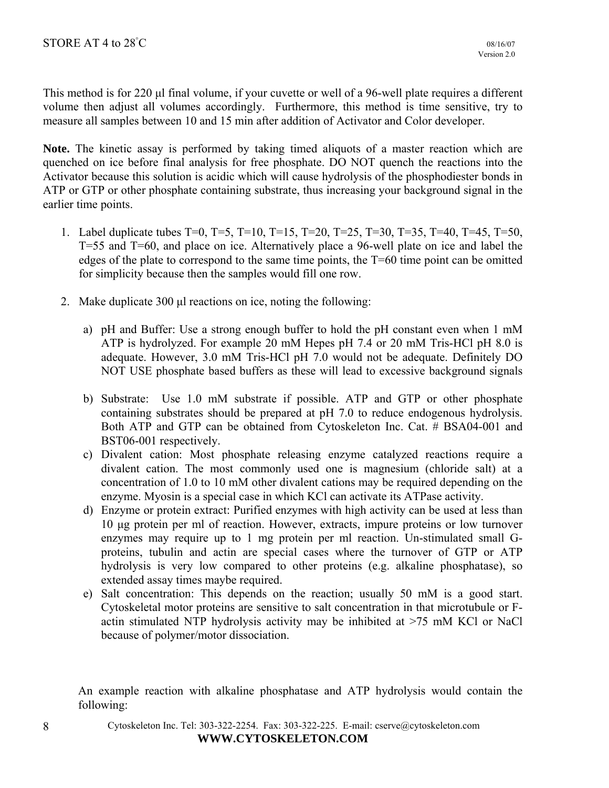This method is for 220 μl final volume, if your cuvette or well of a 96-well plate requires a different volume then adjust all volumes accordingly. Furthermore, this method is time sensitive, try to measure all samples between 10 and 15 min after addition of Activator and Color developer.

**Note.** The kinetic assay is performed by taking timed aliquots of a master reaction which are quenched on ice before final analysis for free phosphate. DO NOT quench the reactions into the Activator because this solution is acidic which will cause hydrolysis of the phosphodiester bonds in ATP or GTP or other phosphate containing substrate, thus increasing your background signal in the earlier time points.

- 1. Label duplicate tubes T=0, T=5, T=10, T=15, T=20, T=25, T=30, T=35, T=40, T=45, T=50, T=55 and T=60, and place on ice. Alternatively place a 96-well plate on ice and label the edges of the plate to correspond to the same time points, the T=60 time point can be omitted for simplicity because then the samples would fill one row.
- 2. Make duplicate 300 μl reactions on ice, noting the following:
	- a) pH and Buffer: Use a strong enough buffer to hold the pH constant even when 1 mM ATP is hydrolyzed. For example 20 mM Hepes pH 7.4 or 20 mM Tris-HCl pH 8.0 is adequate. However, 3.0 mM Tris-HCl pH 7.0 would not be adequate. Definitely DO NOT USE phosphate based buffers as these will lead to excessive background signals
	- b) Substrate: Use 1.0 mM substrate if possible. ATP and GTP or other phosphate containing substrates should be prepared at pH 7.0 to reduce endogenous hydrolysis. Both ATP and GTP can be obtained from Cytoskeleton Inc. Cat. # BSA04-001 and BST06-001 respectively.
	- c) Divalent cation: Most phosphate releasing enzyme catalyzed reactions require a divalent cation. The most commonly used one is magnesium (chloride salt) at a concentration of 1.0 to 10 mM other divalent cations may be required depending on the enzyme. Myosin is a special case in which KCl can activate its ATPase activity.
	- d) Enzyme or protein extract: Purified enzymes with high activity can be used at less than 10 μg protein per ml of reaction. However, extracts, impure proteins or low turnover enzymes may require up to 1 mg protein per ml reaction. Un-stimulated small Gproteins, tubulin and actin are special cases where the turnover of GTP or ATP hydrolysis is very low compared to other proteins (e.g. alkaline phosphatase), so extended assay times maybe required.
	- e) Salt concentration: This depends on the reaction; usually 50 mM is a good start. Cytoskeletal motor proteins are sensitive to salt concentration in that microtubule or Factin stimulated NTP hydrolysis activity may be inhibited at >75 mM KCl or NaCl because of polymer/motor dissociation.

An example reaction with alkaline phosphatase and ATP hydrolysis would contain the following: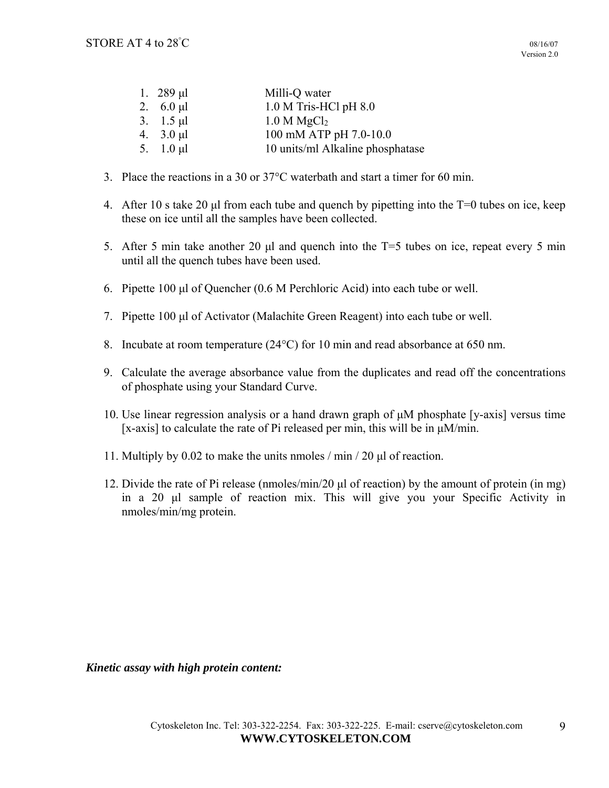| 1. $289 \mu l$ | Milli-Q water                    |
|----------------|----------------------------------|
| 2. $6.0 \mu l$ | 1.0 M Tris-HCl pH 8.0            |
| 3. $1.5 \mu l$ | 1.0 M MgCl <sub>2</sub>          |
| 4. $3.0 \mu l$ | 100 mM ATP pH 7.0-10.0           |
| 5. $1.0 \mu l$ | 10 units/ml Alkaline phosphatase |

- 3. Place the reactions in a 30 or  $37^{\circ}$ C waterbath and start a timer for 60 min.
- 4. After 10 s take 20 μl from each tube and quench by pipetting into the T=0 tubes on ice, keep these on ice until all the samples have been collected.
- 5. After 5 min take another 20 µl and quench into the T=5 tubes on ice, repeat every 5 min until all the quench tubes have been used.
- 6. Pipette 100 μl of Quencher (0.6 M Perchloric Acid) into each tube or well.
- 7. Pipette 100 μl of Activator (Malachite Green Reagent) into each tube or well.
- 8. Incubate at room temperature  $(24^{\circ}C)$  for 10 min and read absorbance at 650 nm.
- 9. Calculate the average absorbance value from the duplicates and read off the concentrations of phosphate using your Standard Curve.
- 10. Use linear regression analysis or a hand drawn graph of μM phosphate [y-axis] versus time [x-axis] to calculate the rate of Pi released per min, this will be in  $\mu$ M/min.
- 11. Multiply by 0.02 to make the units nmoles / min / 20 μl of reaction.
- 12. Divide the rate of Pi release (nmoles/min/20 μl of reaction) by the amount of protein (in mg) in a 20 μl sample of reaction mix. This will give you your Specific Activity in nmoles/min/mg protein.

*Kinetic assay with high protein content:*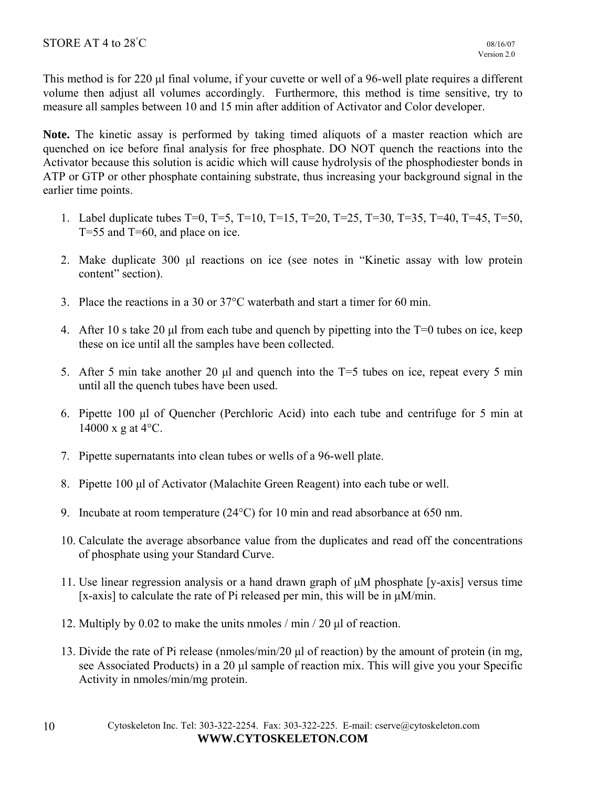This method is for 220 μl final volume, if your cuvette or well of a 96-well plate requires a different volume then adjust all volumes accordingly. Furthermore, this method is time sensitive, try to measure all samples between 10 and 15 min after addition of Activator and Color developer.

**Note.** The kinetic assay is performed by taking timed aliquots of a master reaction which are quenched on ice before final analysis for free phosphate. DO NOT quench the reactions into the Activator because this solution is acidic which will cause hydrolysis of the phosphodiester bonds in ATP or GTP or other phosphate containing substrate, thus increasing your background signal in the earlier time points.

- 1. Label duplicate tubes T=0, T=5, T=10, T=15, T=20, T=25, T=30, T=35, T=40, T=45, T=50, T=55 and T=60, and place on ice.
- 2. Make duplicate 300 μl reactions on ice (see notes in "Kinetic assay with low protein content" section).
- 3. Place the reactions in a 30 or  $37^{\circ}$ C waterbath and start a timer for 60 min.
- 4. After 10 s take 20 μl from each tube and quench by pipetting into the T=0 tubes on ice, keep these on ice until all the samples have been collected.
- 5. After 5 min take another 20 μl and quench into the T=5 tubes on ice, repeat every 5 min until all the quench tubes have been used.
- 6. Pipette 100 μl of Quencher (Perchloric Acid) into each tube and centrifuge for 5 min at  $14000 \text{ x }$  g at  $4^{\circ}$ C.
- 7. Pipette supernatants into clean tubes or wells of a 96-well plate.
- 8. Pipette 100 μl of Activator (Malachite Green Reagent) into each tube or well.
- 9. Incubate at room temperature  $(24^{\circ}C)$  for 10 min and read absorbance at 650 nm.
- 10. Calculate the average absorbance value from the duplicates and read off the concentrations of phosphate using your Standard Curve.
- 11. Use linear regression analysis or a hand drawn graph of μM phosphate [y-axis] versus time [x-axis] to calculate the rate of Pi released per min, this will be in  $\mu$ M/min.
- 12. Multiply by 0.02 to make the units nmoles / min / 20 μl of reaction.
- 13. Divide the rate of Pi release (nmoles/min/20 μl of reaction) by the amount of protein (in mg, see Associated Products) in a 20 μl sample of reaction mix. This will give you your Specific Activity in nmoles/min/mg protein.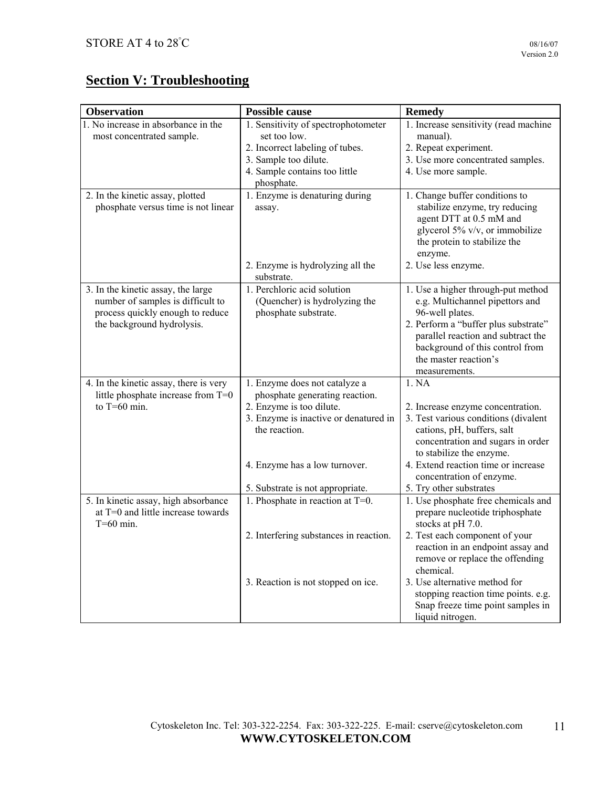11

# **Section V: Troubleshooting**

| <b>Observation</b>                                                           | <b>Possible cause</b>                                           | <b>Remedy</b>                                             |
|------------------------------------------------------------------------------|-----------------------------------------------------------------|-----------------------------------------------------------|
| 1. No increase in absorbance in the                                          | 1. Sensitivity of spectrophotometer                             | 1. Increase sensitivity (read machine                     |
| most concentrated sample.                                                    | set too low.                                                    | manual).                                                  |
|                                                                              | 2. Incorrect labeling of tubes.                                 | 2. Repeat experiment.                                     |
|                                                                              | 3. Sample too dilute.                                           | 3. Use more concentrated samples.                         |
|                                                                              | 4. Sample contains too little                                   | 4. Use more sample.                                       |
|                                                                              | phosphate.                                                      |                                                           |
| 2. In the kinetic assay, plotted                                             | 1. Enzyme is denaturing during                                  | 1. Change buffer conditions to                            |
| phosphate versus time is not linear                                          | assay.                                                          | stabilize enzyme, try reducing<br>agent DTT at 0.5 mM and |
|                                                                              |                                                                 | glycerol 5% v/v, or immobilize                            |
|                                                                              |                                                                 | the protein to stabilize the                              |
|                                                                              |                                                                 | enzyme.                                                   |
|                                                                              | 2. Enzyme is hydrolyzing all the                                | 2. Use less enzyme.                                       |
|                                                                              | substrate.                                                      |                                                           |
| 3. In the kinetic assay, the large                                           | 1. Perchloric acid solution                                     | 1. Use a higher through-put method                        |
| number of samples is difficult to                                            | (Quencher) is hydrolyzing the                                   | e.g. Multichannel pipettors and                           |
| process quickly enough to reduce                                             | phosphate substrate.                                            | 96-well plates.                                           |
| the background hydrolysis.                                                   |                                                                 | 2. Perform a "buffer plus substrate"                      |
|                                                                              |                                                                 | parallel reaction and subtract the                        |
|                                                                              |                                                                 | background of this control from                           |
|                                                                              |                                                                 | the master reaction's                                     |
|                                                                              |                                                                 | measurements.                                             |
| 4. In the kinetic assay, there is very<br>little phosphate increase from T=0 | 1. Enzyme does not catalyze a<br>phosphate generating reaction. | 1. NA                                                     |
| to $T=60$ min.                                                               | 2. Enzyme is too dilute.                                        | 2. Increase enzyme concentration.                         |
|                                                                              | 3. Enzyme is inactive or denatured in                           | 3. Test various conditions (divalent                      |
|                                                                              | the reaction.                                                   | cations, pH, buffers, salt                                |
|                                                                              |                                                                 | concentration and sugars in order                         |
|                                                                              |                                                                 | to stabilize the enzyme.                                  |
|                                                                              | 4. Enzyme has a low turnover.                                   | 4. Extend reaction time or increase                       |
|                                                                              |                                                                 | concentration of enzyme.                                  |
|                                                                              | 5. Substrate is not appropriate.                                | 5. Try other substrates                                   |
| 5. In kinetic assay, high absorbance                                         | 1. Phosphate in reaction at T=0.                                | 1. Use phosphate free chemicals and                       |
| at T=0 and little increase towards                                           |                                                                 | prepare nucleotide triphosphate                           |
| $T=60$ min.                                                                  |                                                                 | stocks at pH 7.0.                                         |
|                                                                              | 2. Interfering substances in reaction.                          | 2. Test each component of your                            |
|                                                                              |                                                                 | reaction in an endpoint assay and                         |
|                                                                              |                                                                 | remove or replace the offending<br>chemical.              |
|                                                                              | 3. Reaction is not stopped on ice.                              | 3. Use alternative method for                             |
|                                                                              |                                                                 | stopping reaction time points. e.g.                       |
|                                                                              |                                                                 | Snap freeze time point samples in                         |
|                                                                              |                                                                 | liquid nitrogen.                                          |